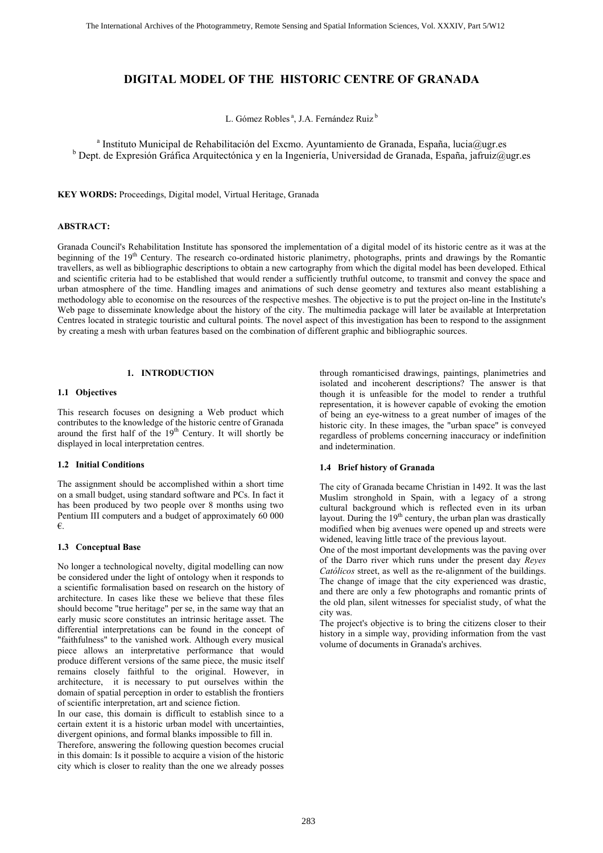# **DIGITAL MODEL OF THE HISTORIC CENTRE OF GRANADA**

L. Gómez Robles<sup>a</sup>, J.A. Fernández Ruiz<sup>b</sup>

<sup>a</sup> Instituto Municipal de Rehabilitación del Excmo. Ayuntamiento de Granada, España, lucia@ugr.es <sup>b</sup> Dept. de Expresión Gráfica Arquitectónica y en la Ingeniería, Universidad de Granada, España, jafruiz@ugr.es

**KEY WORDS:** Proceedings, Digital model, Virtual Heritage, Granada

## **ABSTRACT:**

Granada Council's Rehabilitation Institute has sponsored the implementation of a digital model of its historic centre as it was at the beginning of the 19<sup>th</sup> Century. The research co-ordinated historic planimetry, photographs, prints and drawings by the Romantic travellers, as well as bibliographic descriptions to obtain a new cartography from which the digital model has been developed. Ethical and scientific criteria had to be established that would render a sufficiently truthful outcome, to transmit and convey the space and urban atmosphere of the time. Handling images and animations of such dense geometry and textures also meant establishing a methodology able to economise on the resources of the respective meshes. The objective is to put the project on-line in the Institute's Web page to disseminate knowledge about the history of the city. The multimedia package will later be available at Interpretation Centres located in strategic touristic and cultural points. The novel aspect of this investigation has been to respond to the assignment by creating a mesh with urban features based on the combination of different graphic and bibliographic sources.

# **1. INTRODUCTION**

### **1.1 Objectives**

This research focuses on designing a Web product which contributes to the knowledge of the historic centre of Granada around the first half of the 19<sup>th</sup> Century. It will shortly be displayed in local interpretation centres.

### **1.2 Initial Conditions**

The assignment should be accomplished within a short time on a small budget, using standard software and PCs. In fact it has been produced by two people over 8 months using two Pentium III computers and a budget of approximately 60 000 €.

#### **1.3 Conceptual Base**

No longer a technological novelty, digital modelling can now be considered under the light of ontology when it responds to a scientific formalisation based on research on the history of architecture. In cases like these we believe that these files should become "true heritage" per se, in the same way that an early music score constitutes an intrinsic heritage asset. The differential interpretations can be found in the concept of "faithfulness" to the vanished work. Although every musical piece allows an interpretative performance that would produce different versions of the same piece, the music itself remains closely faithful to the original. However, in architecture, it is necessary to put ourselves within the domain of spatial perception in order to establish the frontiers of scientific interpretation, art and science fiction.

In our case, this domain is difficult to establish since to a certain extent it is a historic urban model with uncertainties, divergent opinions, and formal blanks impossible to fill in.

Therefore, answering the following question becomes crucial in this domain: Is it possible to acquire a vision of the historic city which is closer to reality than the one we already posses through romanticised drawings, paintings, planimetries and isolated and incoherent descriptions? The answer is that though it is unfeasible for the model to render a truthful representation, it is however capable of evoking the emotion of being an eye-witness to a great number of images of the historic city. In these images, the "urban space" is conveyed regardless of problems concerning inaccuracy or indefinition and indetermination.

#### **1.4 Brief history of Granada**

The city of Granada became Christian in 1492. It was the last Muslim stronghold in Spain, with a legacy of a strong cultural background which is reflected even in its urban layout. During the  $19<sup>th</sup>$  century, the urban plan was drastically modified when big avenues were opened up and streets were widened, leaving little trace of the previous layout.

One of the most important developments was the paving over of the Darro river which runs under the present day *Reyes Católicos* street, as well as the re-alignment of the buildings. The change of image that the city experienced was drastic, and there are only a few photographs and romantic prints of the old plan, silent witnesses for specialist study, of what the city was.

The project's objective is to bring the citizens closer to their history in a simple way, providing information from the vast volume of documents in Granada's archives.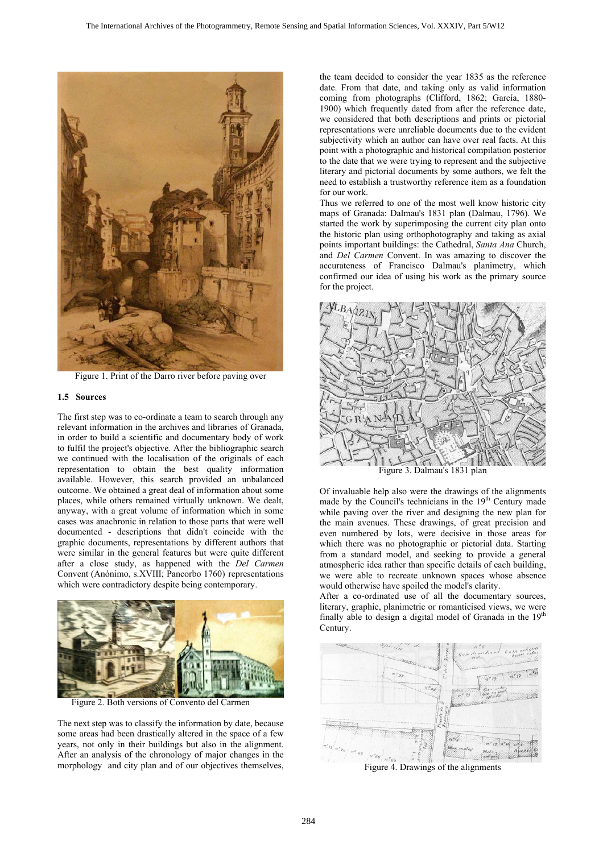

Figure 1. Print of the Darro river before paving over

### **1.5 Sources**

The first step was to co-ordinate a team to search through any relevant information in the archives and libraries of Granada, in order to build a scientific and documentary body of work to fulfil the project's objective. After the bibliographic search we continued with the localisation of the originals of each representation to obtain the best quality information available. However, this search provided an unbalanced outcome. We obtained a great deal of information about some places, while others remained virtually unknown. We dealt, anyway, with a great volume of information which in some cases was anachronic in relation to those parts that were well documented - descriptions that didn't coincide with the graphic documents, representations by different authors that were similar in the general features but were quite different after a close study, as happened with the *Del Carmen* Convent (Anónimo, s.XVIII; Pancorbo 1760) representations which were contradictory despite being contemporary.



Figure 2. Both versions of Convento del Carmen

The next step was to classify the information by date, because some areas had been drastically altered in the space of a few years, not only in their buildings but also in the alignment. After an analysis of the chronology of major changes in the morphology and city plan and of our objectives themselves,

the team decided to consider the year 1835 as the reference date. From that date, and taking only as valid information coming from photographs (Clifford, 1862; García, 1880- 1900) which frequently dated from after the reference date, we considered that both descriptions and prints or pictorial representations were unreliable documents due to the evident subjectivity which an author can have over real facts. At this point with a photographic and historical compilation posterior to the date that we were trying to represent and the subjective literary and pictorial documents by some authors, we felt the need to establish a trustworthy reference item as a foundation for our work.

Thus we referred to one of the most well know historic city maps of Granada: Dalmau's 1831 plan (Dalmau, 1796). We started the work by superimposing the current city plan onto the historic plan using orthophotography and taking as axial points important buildings: the Cathedral, *Santa Ana* Church, and *Del Carmen* Convent. In was amazing to discover the accurateness of Francisco Dalmau's planimetry, which confirmed our idea of using his work as the primary source for the project.



Figure 3. Dalmau's 1831 plan

Of invaluable help also were the drawings of the alignments made by the Council's technicians in the  $19<sup>th</sup>$  Century made while paving over the river and designing the new plan for the main avenues. These drawings, of great precision and even numbered by lots, were decisive in those areas for which there was no photographic or pictorial data. Starting from a standard model, and seeking to provide a general atmospheric idea rather than specific details of each building, we were able to recreate unknown spaces whose absence would otherwise have spoiled the model's clarity.

After a co-ordinated use of all the documentary sources, literary, graphic, planimetric or romanticised views, we were finally able to design a digital model of Granada in the  $19<sup>th</sup>$ Century.



Figure 4. Drawings of the alignments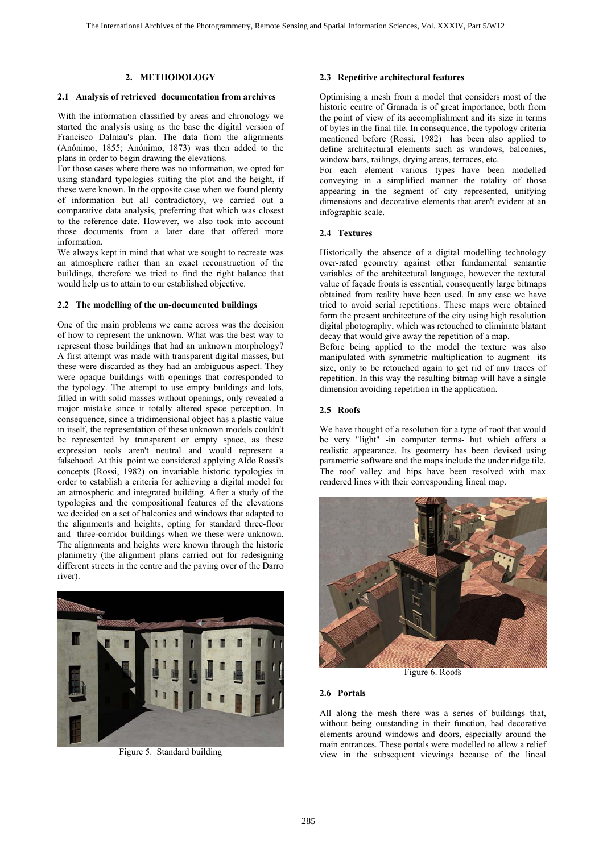## **2. METHODOLOGY 2.3**

### **2.1 Analysis of retrieved documentation from archives**

With the information classified by areas and chronology we started the analysis using as the base the digital version of Francisco Dalmau's plan. The data from the alignments (Anónimo, 1855; Anónimo, 1873) was then added to the plans in order to begin drawing the elevations.

For those cases where there was no information, we opted for using standard typologies suiting the plot and the height, if these were known. In the opposite case when we found plenty of information but all contradictory, we carried out a comparative data analysis, preferring that which was closest to the reference date. However, we also took into account those documents from a later date that offered more information.

We always kept in mind that what we sought to recreate was an atmosphere rather than an exact reconstruction of the buildings, therefore we tried to find the right balance that would help us to attain to our established objective.

### **2.2 The modelling of the un-documented buildings**

One of the main problems we came across was the decision of how to represent the unknown. What was the best way to represent those buildings that had an unknown morphology? A first attempt was made with transparent digital masses, but these were discarded as they had an ambiguous aspect. They were opaque buildings with openings that corresponded to the typology. The attempt to use empty buildings and lots, filled in with solid masses without openings, only revealed a major mistake since it totally altered space perception. In consequence, since a tridimensional object has a plastic value in itself, the representation of these unknown models couldn't be represented by transparent or empty space, as these expression tools aren't neutral and would represent a falsehood. At this point we considered applying Aldo Rossi's concepts (Rossi, 1982) on invariable historic typologies in order to establish a criteria for achieving a digital model for an atmospheric and integrated building. After a study of the typologies and the compositional features of the elevations we decided on a set of balconies and windows that adapted to the alignments and heights, opting for standard three-floor and three-corridor buildings when we these were unknown. The alignments and heights were known through the historic planimetry (the alignment plans carried out for redesigning different streets in the centre and the paving over of the Darro river).



### **Repetitive architectural features**

Optimising a mesh from a model that considers most of the historic centre of Granada is of great importance, both from the point of view of its accomplishment and its size in terms of bytes in the final file. In consequence, the typology criteria mentioned before (Rossi, 1982) has been also applied to define architectural elements such as windows, balconies, window bars, railings, drying areas, terraces, etc.

For each element various types have been modelled conveying in a simplified manner the totality of those appearing in the segment of city represented, unifying dimensions and decorative elements that aren't evident at an infographic scale.

## **2.4 Textures**

Historically the absence of a digital modelling technology over-rated geometry against other fundamental semantic variables of the architectural language, however the textural value of façade fronts is essential, consequently large bitmaps obtained from reality have been used. In any case we have tried to avoid serial repetitions. These maps were obtained form the present architecture of the city using high resolution digital photography, which was retouched to eliminate blatant decay that would give away the repetition of a map.

Before being applied to the model the texture was also manipulated with symmetric multiplication to augment its size, only to be retouched again to get rid of any traces of repetition. In this way the resulting bitmap will have a single dimension avoiding repetition in the application.

#### **2.5 Roofs**

We have thought of a resolution for a type of roof that would be very "light" -in computer terms- but which offers a realistic appearance. Its geometry has been devised using parametric software and the maps include the under ridge tile. The roof valley and hips have been resolved with max rendered lines with their corresponding lineal map.



Figure 6. Roofs

## **2.6 Portals**

All along the mesh there was a series of buildings that, without being outstanding in their function, had decorative elements around windows and doors, especially around the main entrances. These portals were modelled to allow a relief view in the subsequent viewings because of the lineal Figure 5. Standard building view in the subsequent viewings because of the lineal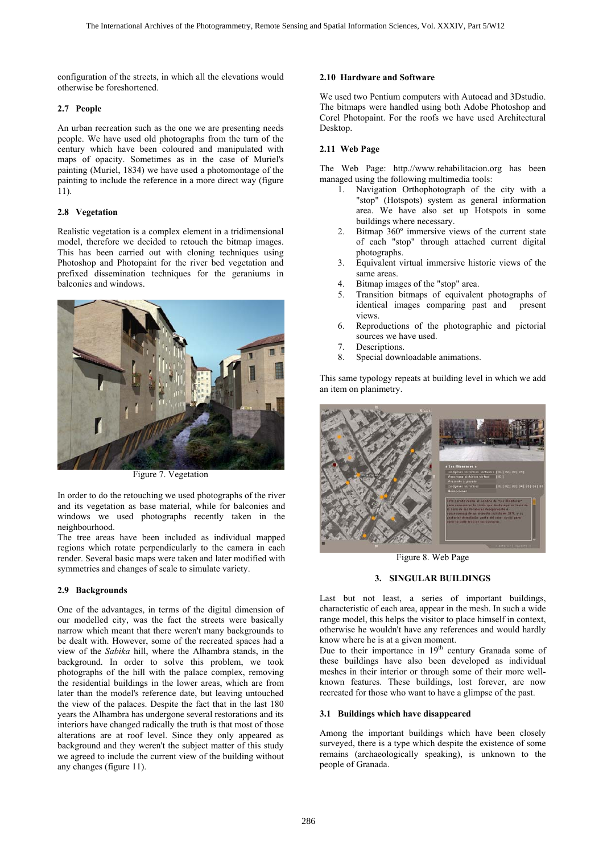configuration of the streets, in which all the elevations would otherwise be foreshortened.

# **2.7 People**

An urban recreation such as the one we are presenting needs people. We have used old photographs from the turn of the century which have been coloured and manipulated with maps of opacity. Sometimes as in the case of Muriel's painting (Muriel, 1834) we have used a photomontage of the painting to include the reference in a more direct way (figure 11).

# **2.8 Vegetation**

Realistic vegetation is a complex element in a tridimensional model, therefore we decided to retouch the bitmap images. This has been carried out with cloning techniques using Photoshop and Photopaint for the river bed vegetation and prefixed dissemination techniques for the geraniums in balconies and windows.



Figure 7. Vegetation

In order to do the retouching we used photographs of the river and its vegetation as base material, while for balconies and windows we used photographs recently taken in the neighbourhood.

The tree areas have been included as individual mapped regions which rotate perpendicularly to the camera in each render. Several basic maps were taken and later modified with symmetries and changes of scale to simulate variety.

# **2.9 Backgrounds**

One of the advantages, in terms of the digital dimension of our modelled city, was the fact the streets were basically narrow which meant that there weren't many backgrounds to be dealt with. However, some of the recreated spaces had a view of the *Sabika* hill, where the Alhambra stands, in the background. In order to solve this problem, we took photographs of the hill with the palace complex, removing the residential buildings in the lower areas, which are from later than the model's reference date, but leaving untouched the view of the palaces. Despite the fact that in the last 180 years the Alhambra has undergone several restorations and its interiors have changed radically the truth is that most of those alterations are at roof level. Since they only appeared as background and they weren't the subject matter of this study we agreed to include the current view of the building without any changes (figure 11).

# **2.10 Hardware and Software**

We used two Pentium computers with Autocad and 3Dstudio. The bitmaps were handled using both Adobe Photoshop and Corel Photopaint. For the roofs we have used Architectural Desktop.

# **2.11 Web Page**

The Web Page: http.//www.rehabilitacion.org has been managed using the following multimedia tools:

- 1. Navigation Orthophotograph of the city with a "stop" (Hotspots) system as general information area. We have also set up Hotspots in some buildings where necessary.
- 2. Bitmap 360º immersive views of the current state of each "stop" through attached current digital photographs.
- 3. Equivalent virtual immersive historic views of the same areas.
- 4. Bitmap images of the "stop" area.
- 5. Transition bitmaps of equivalent photographs of identical images comparing past and present views.
- 6. Reproductions of the photographic and pictorial sources we have used.
- 7. Descriptions.
- 8. Special downloadable animations.

This same typology repeats at building level in which we add an item on planimetry.



Figure 8. Web Page

# **3. SINGULAR BUILDINGS**

Last but not least, a series of important buildings, characteristic of each area, appear in the mesh. In such a wide range model, this helps the visitor to place himself in context, otherwise he wouldn't have any references and would hardly know where he is at a given moment.

Due to their importance in  $19<sup>th</sup>$  century Granada some of these buildings have also been developed as individual meshes in their interior or through some of their more wellknown features. These buildings, lost forever, are now recreated for those who want to have a glimpse of the past.

# **3.1 Buildings which have disappeared**

Among the important buildings which have been closely surveyed, there is a type which despite the existence of some remains (archaeologically speaking), is unknown to the people of Granada.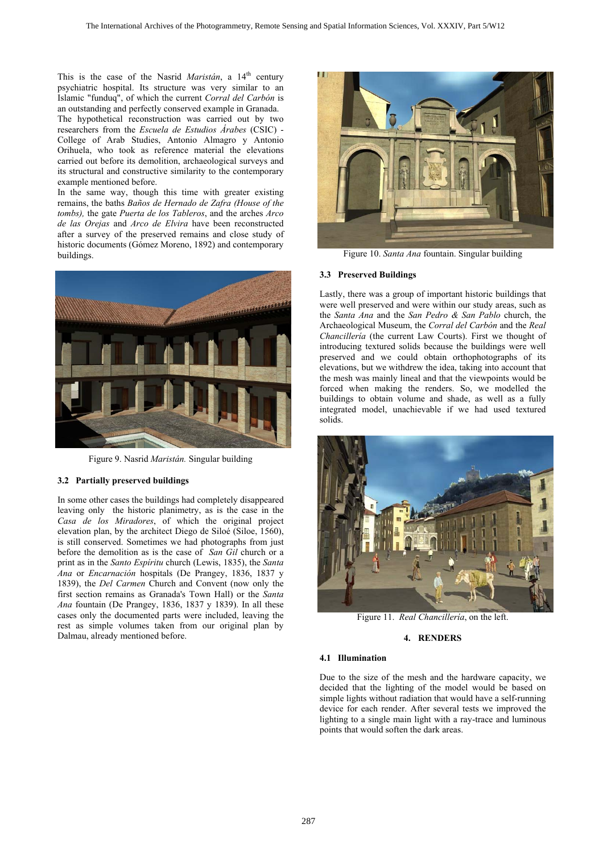This is the case of the Nasrid *Maristán*, a 14<sup>th</sup> century psychiatric hospital. Its structure was very similar to an Islamic "funduq", of which the current *Corral del Carbón* is an outstanding and perfectly conserved example in Granada.

The hypothetical reconstruction was carried out by two researchers from the *Escuela de Estudios Árabes* (CSIC) - College of Arab Studies, Antonio Almagro y Antonio Orihuela, who took as reference material the elevations carried out before its demolition, archaeological surveys and its structural and constructive similarity to the contemporary example mentioned before.

In the same way, though this time with greater existing remains, the baths *Baños de Hernado de Zafra (House of the tombs),* the gate *Puerta de los Tableros*, and the arches *Arco de las Orejas* and *Arco de Elvira* have been reconstructed after a survey of the preserved remains and close study of historic documents (Gómez Moreno, 1892) and contemporary buildings. **Figure 10.** *Santa Ana* fountain. Singular building



Figure 9. Nasrid *Maristán.* Singular building

## **3.2 Partially preserved buildings**

In some other cases the buildings had completely disappeared leaving only the historic planimetry, as is the case in the *Casa de los Miradores*, of which the original project elevation plan, by the architect Diego de Siloé (Siloe, 1560), is still conserved. Sometimes we had photographs from just before the demolition as is the case of *San Gil* church or a print as in the *Santo Espíritu* church (Lewis, 1835), the *Santa Ana* or *Encarnación* hospitals (De Prangey, 1836, 1837 y 1839), the *Del Carmen* Church and Convent (now only the first section remains as Granada's Town Hall) or the *Santa Ana* fountain (De Prangey, 1836, 1837 y 1839). In all these cases only the documented parts were included, leaving the rest as simple volumes taken from our original plan by Dalmau, already mentioned before.



### **3.3 Preserved Buildings**

Lastly, there was a group of important historic buildings that were well preserved and were within our study areas, such as the *Santa Ana* and the *San Pedro & San Pablo* church, the Archaeological Museum, the *Corral del Carbón* and the *Real Chancillería* (the current Law Courts). First we thought of introducing textured solids because the buildings were well preserved and we could obtain orthophotographs of its elevations, but we withdrew the idea, taking into account that the mesh was mainly lineal and that the viewpoints would be forced when making the renders. So, we modelled the buildings to obtain volume and shade, as well as a fully integrated model, unachievable if we had used textured solids.



Figure 11. *Real Chancillería*, on the left.

## **4. RENDERS**

#### **4.1 Illumination**

Due to the size of the mesh and the hardware capacity, we decided that the lighting of the model would be based on simple lights without radiation that would have a self-running device for each render. After several tests we improved the lighting to a single main light with a ray-trace and luminous points that would soften the dark areas.